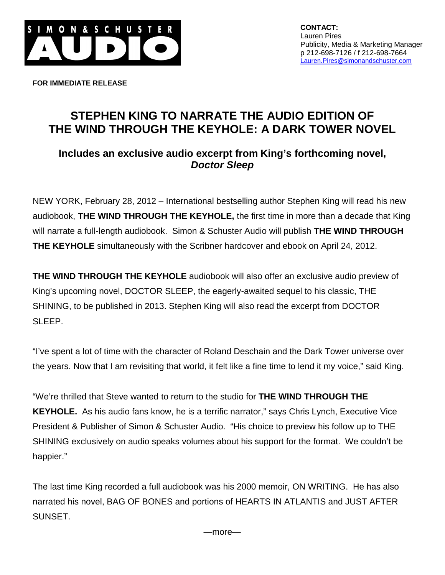

**FOR IMMEDIATE RELEASE**

## **STEPHEN KING TO NARRATE THE AUDIO EDITION OF THE WIND THROUGH THE KEYHOLE: A DARK TOWER NOVEL**

## **Includes an exclusive audio excerpt from King's forthcoming novel,** *Doctor Sleep*

NEW YORK, February 28, 2012 – International bestselling author Stephen King will read his new audiobook, **THE WIND THROUGH THE KEYHOLE,** the first time in more than a decade that King will narrate a full-length audiobook. Simon & Schuster Audio will publish **THE WIND THROUGH THE KEYHOLE** simultaneously with the Scribner hardcover and ebook on April 24, 2012.

**THE WIND THROUGH THE KEYHOLE** audiobook will also offer an exclusive audio preview of King's upcoming novel, DOCTOR SLEEP, the eagerly-awaited sequel to his classic, THE SHINING, to be published in 2013. Stephen King will also read the excerpt from DOCTOR SLEEP.

"I've spent a lot of time with the character of Roland Deschain and the Dark Tower universe over the years. Now that I am revisiting that world, it felt like a fine time to lend it my voice," said King.

"We're thrilled that Steve wanted to return to the studio for **THE WIND THROUGH THE KEYHOLE.** As his audio fans know, he is a terrific narrator," says Chris Lynch, Executive Vice President & Publisher of Simon & Schuster Audio. "His choice to preview his follow up to THE SHINING exclusively on audio speaks volumes about his support for the format. We couldn't be happier."

The last time King recorded a full audiobook was his 2000 memoir, ON WRITING. He has also narrated his novel, BAG OF BONES and portions of HEARTS IN ATLANTIS and JUST AFTER SUNSET.

—more—